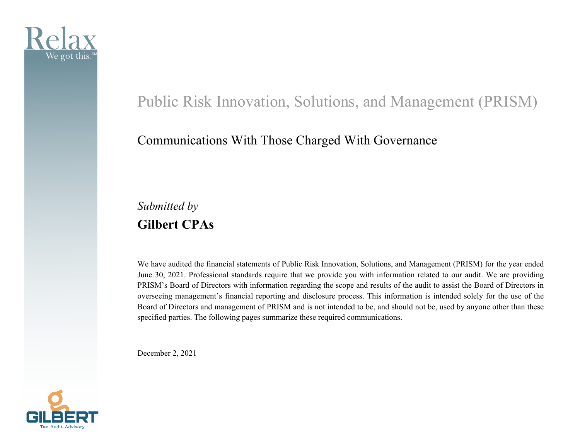

# Public Risk Innovation, Solutions, and Management (PRISM)

### Communications With Those Charged With Governance

## *Submitted by*  **Gilbert CPAs**

We have audited the financial statements of Public Risk Innovation, Solutions, and Management (PRISM) for the year ended June 30, 2021. Professional standards require that we provide you with information related to our audit. We are providing PRISM's Board of Directors with information regarding the scope and results of the audit to assist the Board of Directors in overseeing management's financial reporting and disclosure process. This information is intended solely for the use of the Board of Directors and management of PRISM and is not intended to be, and should not be, used by anyone other than these specified parties. The following pages summarize these required communications.

December 2, 2021

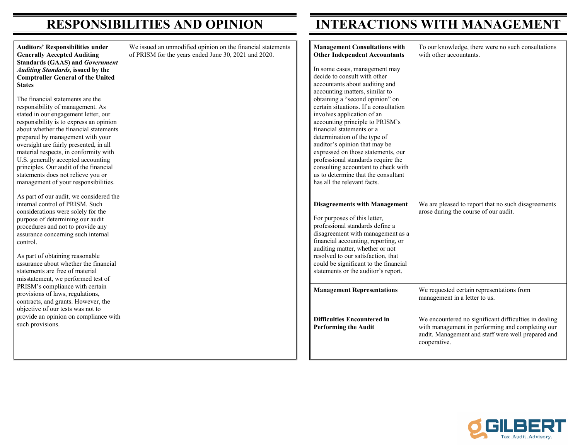**Auditors' Responsibilities Generally Accepted Auditing Standards (GAAS) and** *Government**G***<sub>** $o$ **</sub>** *Auditing Standards, issued* **Comptroller General of the States** 

The financial statements are responsibility of management stated in our engagement lett responsibility is to express an about whether the financial s prepared by management with oversight are fairly presented material respects, in conform U.S. generally accepted acco principles. Our audit of the fi statements does not relieve y management of your respons

As part of our audit, we cons internal control of PRISM. S considerations were solely fo purpose of determining our a procedures and not to provid assurance concerning such in control.

As part of obtaining reasonal assurance about whether the statements are free of materia misstatement, we performed PRISM's compliance with ce provisions of laws, regulation contracts, and grants. Howev objective of our tests was not provide an opinion on compl such provisions.

| under<br>ng<br>vernment<br>by the<br>e United<br>the<br>it. As<br>ter, our<br>n opinion<br>statements<br>th your<br>d, in all<br>ity with<br>ounting<br>inancial<br>ou or<br>sibilities. | We issued an unmodified opinion on the financial statements<br>of PRISM for the years ended June 30, 2021 and 2020. | <b>Management Consultations with</b><br><b>Other Independent Accountants</b><br>In some cases, management may<br>decide to consult with other<br>accountants about auditing and<br>accounting matters, similar to<br>obtaining a "second opinion" on<br>certain situations. If a consultation<br>involves application of an<br>accounting principle to PRISM's<br>financial statements or a<br>determination of the type of<br>auditor's opinion that may be<br>expressed on those statements, our<br>professional standards require the<br>consulting accountant to check with<br>us to determine that the consultant<br>has all the relevant facts. | To our knowledge, there were no such consultations<br>with other accountants.                                                                                                   |
|------------------------------------------------------------------------------------------------------------------------------------------------------------------------------------------|---------------------------------------------------------------------------------------------------------------------|-------------------------------------------------------------------------------------------------------------------------------------------------------------------------------------------------------------------------------------------------------------------------------------------------------------------------------------------------------------------------------------------------------------------------------------------------------------------------------------------------------------------------------------------------------------------------------------------------------------------------------------------------------|---------------------------------------------------------------------------------------------------------------------------------------------------------------------------------|
| sidered the<br>՝uch<br>or the<br>audit<br>le any<br>nternal<br>ble<br>financial<br>al<br>test of                                                                                         |                                                                                                                     | <b>Disagreements with Management</b><br>For purposes of this letter,<br>professional standards define a<br>disagreement with management as a<br>financial accounting, reporting, or<br>auditing matter, whether or not<br>resolved to our satisfaction, that<br>could be significant to the financial<br>statements or the auditor's report.                                                                                                                                                                                                                                                                                                          | We are pleased to report that no such disagreements<br>arose during the course of our audit.                                                                                    |
| ertain<br>ns,<br>ver, the<br>t to                                                                                                                                                        |                                                                                                                     | <b>Management Representations</b>                                                                                                                                                                                                                                                                                                                                                                                                                                                                                                                                                                                                                     | We requested certain representations from<br>management in a letter to us.                                                                                                      |
| liance with                                                                                                                                                                              |                                                                                                                     | <b>Difficulties Encountered in</b><br><b>Performing the Audit</b>                                                                                                                                                                                                                                                                                                                                                                                                                                                                                                                                                                                     | We encountered no significant difficulties in dealing<br>with management in performing and completing our<br>audit. Management and staff were well prepared and<br>cooperative. |

#### **RESPONSIBILITIES AND OPINION INTERACTIONS WITH MANAGEMENT**

| Tax.Audit.Advisory. |
|---------------------|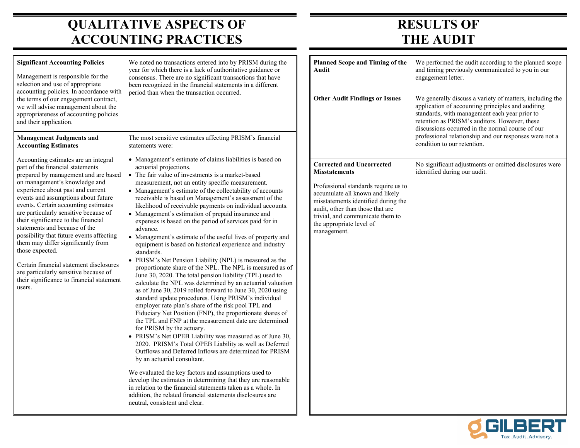## **QUALITATIVE ASPECTS OF ACCOUNTING PRACTICES**

## **RESULTS OF THE AUDIT**

| <b>Significant Accounting Policies</b><br>Management is responsible for the<br>selection and use of appropriate<br>accounting policies. In accordance with                                                                                                                                                                                                                                                                                                                                                                                                                                                                                                                                                                                                                                                                                                                                                                                                                                                                                                                                                                                                                                                                                                                                                                                                                                                                                                                                                                                                                                                                                                                                                                                                                                                                                                                                                                                                                                                                                                                                                                                                                                                                                                                                                                                                                                 | We noted no transactions entered into by PRISM during the<br>year for which there is a lack of authoritative guidance or<br>consensus. There are no significant transactions that have<br>been recognized in the financial statements in a different | <b>Planned Scope and Timing of the</b><br>Audit                                                                                                                                                                                                                                               | We performed the audit according to the planned scope<br>and timing previously communicated to you in our<br>engagement letter.                                                                                                                                                                                                                              |
|--------------------------------------------------------------------------------------------------------------------------------------------------------------------------------------------------------------------------------------------------------------------------------------------------------------------------------------------------------------------------------------------------------------------------------------------------------------------------------------------------------------------------------------------------------------------------------------------------------------------------------------------------------------------------------------------------------------------------------------------------------------------------------------------------------------------------------------------------------------------------------------------------------------------------------------------------------------------------------------------------------------------------------------------------------------------------------------------------------------------------------------------------------------------------------------------------------------------------------------------------------------------------------------------------------------------------------------------------------------------------------------------------------------------------------------------------------------------------------------------------------------------------------------------------------------------------------------------------------------------------------------------------------------------------------------------------------------------------------------------------------------------------------------------------------------------------------------------------------------------------------------------------------------------------------------------------------------------------------------------------------------------------------------------------------------------------------------------------------------------------------------------------------------------------------------------------------------------------------------------------------------------------------------------------------------------------------------------------------------------------------------------|------------------------------------------------------------------------------------------------------------------------------------------------------------------------------------------------------------------------------------------------------|-----------------------------------------------------------------------------------------------------------------------------------------------------------------------------------------------------------------------------------------------------------------------------------------------|--------------------------------------------------------------------------------------------------------------------------------------------------------------------------------------------------------------------------------------------------------------------------------------------------------------------------------------------------------------|
| the terms of our engagement contract,<br>we will advise management about the<br>appropriateness of accounting policies<br>and their application.                                                                                                                                                                                                                                                                                                                                                                                                                                                                                                                                                                                                                                                                                                                                                                                                                                                                                                                                                                                                                                                                                                                                                                                                                                                                                                                                                                                                                                                                                                                                                                                                                                                                                                                                                                                                                                                                                                                                                                                                                                                                                                                                                                                                                                           | period than when the transaction occurred.                                                                                                                                                                                                           | <b>Other Audit Findings or Issues</b>                                                                                                                                                                                                                                                         | We generally discuss a variety of matters, including the<br>application of accounting principles and auditing<br>standards, with management each year prior to<br>retention as PRISM's auditors. However, these<br>discussions occurred in the normal course of our<br>professional relationship and our responses were not a<br>condition to our retention. |
| <b>Management Judgments and</b><br><b>Accounting Estimates</b>                                                                                                                                                                                                                                                                                                                                                                                                                                                                                                                                                                                                                                                                                                                                                                                                                                                                                                                                                                                                                                                                                                                                                                                                                                                                                                                                                                                                                                                                                                                                                                                                                                                                                                                                                                                                                                                                                                                                                                                                                                                                                                                                                                                                                                                                                                                             | The most sensitive estimates affecting PRISM's financial<br>statements were:                                                                                                                                                                         |                                                                                                                                                                                                                                                                                               |                                                                                                                                                                                                                                                                                                                                                              |
| • Management's estimate of claims liabilities is based on<br>Accounting estimates are an integral<br>part of the financial statements<br>actuarial projections.<br>prepared by management and are based<br>• The fair value of investments is a market-based<br>on management's knowledge and<br>measurement, not an entity specific measurement.<br>experience about past and current<br>• Management's estimate of the collectability of accounts<br>events and assumptions about future<br>receivable is based on Management's assessment of the<br>events. Certain accounting estimates<br>likelihood of receivable payments on individual accounts.<br>are particularly sensitive because of<br>• Management's estimation of prepaid insurance and<br>their significance to the financial<br>expenses is based on the period of services paid for in<br>statements and because of the<br>advance.<br>possibility that future events affecting<br>• Management's estimate of the useful lives of property and<br>them may differ significantly from<br>equipment is based on historical experience and industry<br>those expected.<br>standards.<br>• PRISM's Net Pension Liability (NPL) is measured as the<br>Certain financial statement disclosures<br>proportionate share of the NPL. The NPL is measured as of<br>are particularly sensitive because of<br>June 30, 2020. The total pension liability (TPL) used to<br>their significance to financial statement<br>calculate the NPL was determined by an actuarial valuation<br>users.<br>as of June 30, 2019 rolled forward to June 30, 2020 using<br>standard update procedures. Using PRISM's individual<br>employer rate plan's share of the risk pool TPL and<br>Fiduciary Net Position (FNP), the proportionate shares of<br>the TPL and FNP at the measurement date are determined<br>for PRISM by the actuary.<br>• PRISM's Net OPEB Liability was measured as of June 30,<br>2020. PRISM's Total OPEB Liability as well as Deferred<br>Outflows and Deferred Inflows are determined for PRISM<br>by an actuarial consultant.<br>We evaluated the key factors and assumptions used to<br>develop the estimates in determining that they are reasonable<br>in relation to the financial statements taken as a whole. In<br>addition, the related financial statements disclosures are<br>neutral, consistent and clear. |                                                                                                                                                                                                                                                      | <b>Corrected and Uncorrected</b><br><b>Misstatements</b><br>Professional standards require us to<br>accumulate all known and likely<br>misstatements identified during the<br>audit, other than those that are<br>trivial, and communicate them to<br>the appropriate level of<br>management. | No significant adjustments or omitted disclosures were<br>identified during our audit.                                                                                                                                                                                                                                                                       |